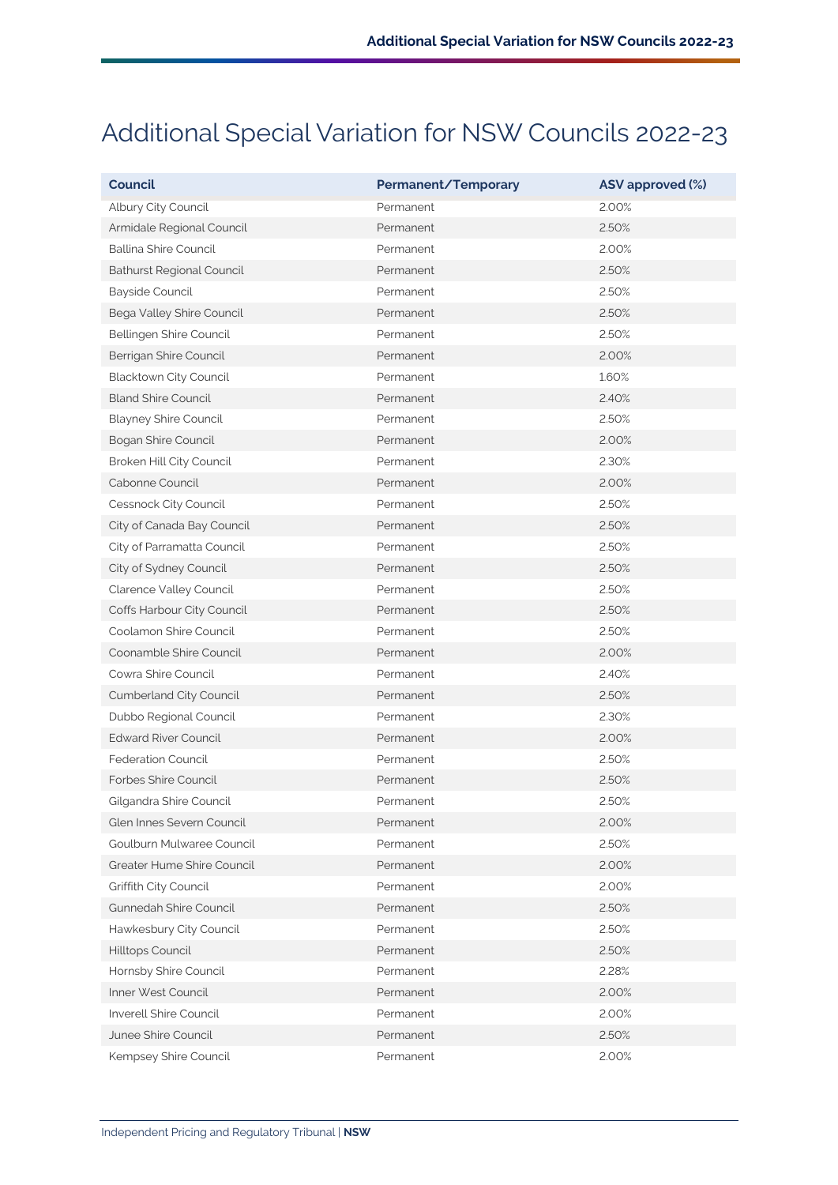## Additional Special Variation for NSW Councils 2022-23

| <b>Council</b>                   | Permanent/Temporary | ASV approved (%) |
|----------------------------------|---------------------|------------------|
| Albury City Council              | Permanent           | 2.00%            |
| Armidale Regional Council        | Permanent           | 2.50%            |
| Ballina Shire Council            | Permanent           | 2.00%            |
| <b>Bathurst Regional Council</b> | Permanent           | 2.50%            |
| Bayside Council                  | Permanent           | 2.50%            |
| Bega Valley Shire Council        | Permanent           | 2.50%            |
| Bellingen Shire Council          | Permanent           | 2.50%            |
| Berrigan Shire Council           | Permanent           | 2.00%            |
| Blacktown City Council           | Permanent           | 1.60%            |
| <b>Bland Shire Council</b>       | Permanent           | 2.40%            |
| <b>Blayney Shire Council</b>     | Permanent           | 2.50%            |
| <b>Bogan Shire Council</b>       | Permanent           | 2.00%            |
| Broken Hill City Council         | Permanent           | 2.30%            |
| Cabonne Council                  | Permanent           | 2.00%            |
| Cessnock City Council            | Permanent           | 2.50%            |
| City of Canada Bay Council       | Permanent           | 2.50%            |
| City of Parramatta Council       | Permanent           | 2.50%            |
| City of Sydney Council           | Permanent           | 2.50%            |
| Clarence Valley Council          | Permanent           | 2.50%            |
| Coffs Harbour City Council       | Permanent           | 2.50%            |
| Coolamon Shire Council           | Permanent           | 2.50%            |
| Coonamble Shire Council          | Permanent           | 2.00%            |
| Cowra Shire Council              | Permanent           | 2.40%            |
| Cumberland City Council          | Permanent           | 2.50%            |
| Dubbo Regional Council           | Permanent           | 2.30%            |
| <b>Edward River Council</b>      | Permanent           | 2.00%            |
| <b>Federation Council</b>        | Permanent           | 2.50%            |
| Forbes Shire Council             | Permanent           | 2.50%            |
| Gilgandra Shire Council          | Permanent           | 2.50%            |
| Glen Innes Severn Council        | Permanent           | 2.00%            |
| Goulburn Mulwaree Council        | Permanent           | 2.50%            |
| Greater Hume Shire Council       | Permanent           | 2.00%            |
| Griffith City Council            | Permanent           | 2.00%            |
| Gunnedah Shire Council           | Permanent           | 2.50%            |
| Hawkesbury City Council          | Permanent           | 2.50%            |
| Hilltops Council                 | Permanent           | 2.50%            |
| Hornsby Shire Council            | Permanent           | 2.28%            |
| Inner West Council               | Permanent           | 2.00%            |
| Inverell Shire Council           | Permanent           | 2.00%            |
| Junee Shire Council              | Permanent           | 2.50%            |
| Kempsey Shire Council            | Permanent           | 2.00%            |